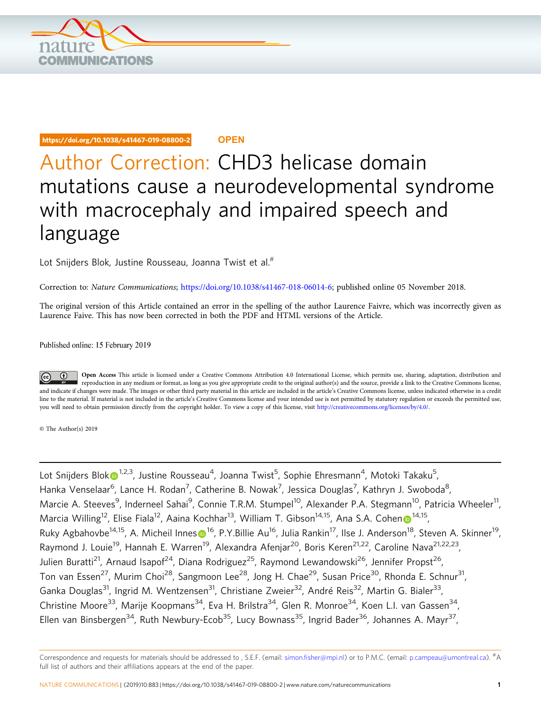

## https://doi.org/10.1038/s41467-019-08800-2 **OPEN**

## Author Correction: CHD3 helicase domain mutations cause a neurodevelopmental syndrome with macrocephaly and impaired speech and language

Lot Snijders Blo[k, Ju](http://orcid.org/0000-0002-9825-3625)stine Rousseau, Joanna Twist et al.<sup>#</sup>

Correction to: Nature Communications; <https://doi.org/10.1038/s41467-018-06014-6>; published online 05 November 2018.

The original version of this Article contained an error in the spelling of the author Laurence Faivre, which was incorrectly given as Laurence Faive. This has now been corrected in both the PDF and HTML versions of the Article.

Published online: 15 February 2019

Open Access This article is licensed under a Creative Commons Attribution 4.0 International License, which permits use, sharing, adaptation, distribution and  $\bigcirc$ reproduction in any medium or format, as long as you give appropriate credit to the original author(s) and the source, provide a link to the Creative Commons license, and indicate if changes were made. The images or other third party material in this article are included in the article's Creative Commons license, unless indicated otherwise in a credit line to the material. If material is not included in the article's Creative Commons license and your intended use is not permitted by statutory regulation or exceeds the permitted use, you will need to obtain permission directly from the copyright holder. To view a copy of this license, visit [http://creativecommons.org/licenses/by/4.0/.](http://creativecommons.org/licenses/by/4.0/)

© The Author(s) 2019

Lot Snijders Blo[k](http://orcid.org/0000-0002-9825-3625) $\bm{\odot}^{1,2,3}$ , Justine Rousseau $^4$ , Joanna Twist $^5$ , Sophie Ehresmann $^4$ , Motoki Takaku $^5$ , Hanka Venselaar<sup>6</sup>, Lance H. Rodan<sup>7</sup>, Catherine B. Nowak<sup>7</sup>, Jessica Douglas<sup>7</sup>, Kathryn J. Swoboda<sup>8</sup>, Marcie A. Steeves<sup>9</sup>, Inderneel Sahai<sup>9</sup>, Connie T.R.M. Stumpel<sup>10</sup>, Alexander P.A. Stegmann<sup>10</sup>, Patricia Wheeler<sup>11</sup>, Marcia Willi[n](http://orcid.org/0000-0002-6353-6350)g<sup>[1](http://orcid.org/0000-0002-6353-6350)2</sup>, Elise Fiala<sup>12</sup>, Aaina Kochhar<sup>13</sup>, William T. Gibson<sup>14,15</sup>, Ana S.A. Cohen <sup>14,15</sup>, Ruky Agbahovbe<[s](http://orcid.org/0000-0001-9881-5467)up>14,15</sup>, A. Micheil Innes  $\Phi^{16}$ , P.Y.Billie Au<sup>16</sup>, Julia Rankin<sup>17</sup>, Ilse J. Anderson<sup>18</sup>, Steven A. Skinner<sup>19</sup>, Raymond J. Louie<sup>19</sup>, Hannah E. Warren<sup>19</sup>, Alexandra Afenjar<sup>20</sup>, Boris Keren<sup>21,22</sup>, Caroline Nava<sup>21,22,23</sup>, Julien Buratti<sup>21</sup>, Arnaud Isapof<sup>24</sup>, Diana Rodriguez<sup>25</sup>, Raymond Lewandowski<sup>26</sup>, Jennifer Propst<sup>26</sup>, Ton van Essen<sup>27</sup>, Murim Choi<sup>28</sup>, Sangmoon Lee<sup>28</sup>, Jong H. Chae<sup>29</sup>, Susan Price<sup>30</sup>, Rhonda E. Schnur<sup>31</sup>, Ganka Douglas<sup>31</sup>, Ingrid M. Wentzensen<sup>31</sup>, Christiane Zweier<sup>32</sup>, André Reis<sup>32</sup>, Martin G. Bialer<sup>33</sup>, Christine Moore<sup>33</sup>, Marije Koopmans<sup>34</sup>, Eva H. Brilstra<sup>34</sup>, Glen R. Monroe<sup>34</sup>, Koen L.I. van Gassen<sup>34</sup>, Ellen van Binsbergen<sup>34</sup>, Ruth Newbury-Ecob<sup>35</sup>, Lucy Bownass<sup>35</sup>, Ingrid Bader<sup>36</sup>, Johannes A. Mayr<sup>37</sup>,

Correspondence and requests for materials should be addressed to , S.E.F. (email: simon.fi[sher@mpi.nl](mailto:simon.fisher@mpi.nl)) or to P.M.C. (email: [p.campeau@umontreal.ca](mailto:p.campeau@umontreal.ca)). #A full list of authors and their affiliations appears at the end of the paper.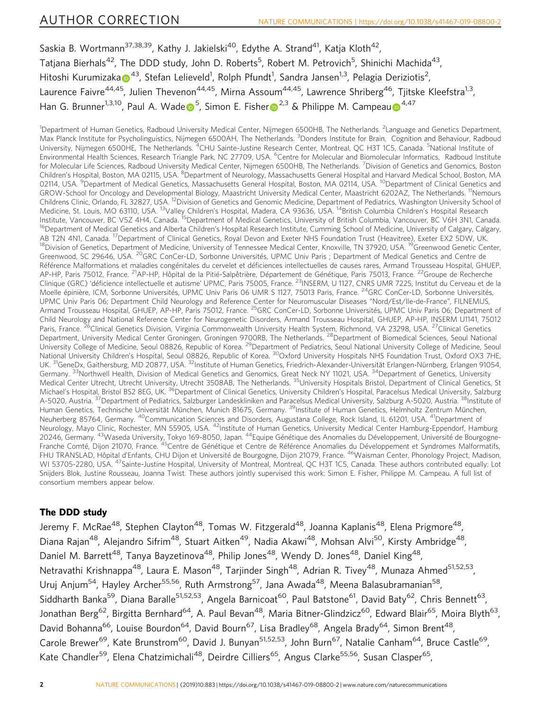Saskia B. Wortmann<sup>37,38,39</sup>, Kathy J. Jakielski<sup>40</sup>, Edythe A. Strand<sup>41</sup>, Katja Kloth<sup>42</sup>, Tatjana Bierhals<sup>42</sup>, The DDD study, John D. Roberts<sup>5</sup>, Robert M. Petrovich<sup>5</sup>, Shinichi Machida<sup>43</sup>, Hitoshi Kurumiz[a](http://orcid.org/0000-0001-7412-3722)ka $\bullet^{43}$ , Stefan Lelieveld<sup>1</sup>, Rolph Pfundt<sup>1</sup>, Sandra Jansen<sup>1,3</sup>, Pelagia Deriziotis<sup>2</sup>, Laurence Faivre<sup>44,45</sup>, Julien Thevenon<sup>44,45</sup>, Mirna Assoum<sup>44,45</sup>, Lawrence Shriberg<sup>46</sup>, Tiitske Kleefstra<sup>1,3</sup>, Han G. Brunn[e](http://orcid.org/0000-0002-6042-357X)[r](http://orcid.org/0000-0002-3132-1996)<s[u](http://orcid.org/0000-0001-9713-7107)p>1,3,10</sup>, Paul A. Wade <sup>5</sup>, Simon E. Fisher <sup>2,3</sup> & Philippe M. Campeau <sup>[4](http://orcid.org/0000-0001-9713-7107),47</sup>

<sup>1</sup>Department of Human Genetics, Radboud University Medical Center, Nijmegen 6500HB, The Netherlands. <sup>2</sup>Language and Genetics Department, Max Planck Institute for Psycholinguistics, Nijmegen 6500AH, The Netherlands. <sup>3</sup>Donders Institute for Brain, Cognition and Behaviour, Radboud University, Nijmegen 6500HE, The Netherlands. <sup>4</sup>CHU Sainte-Justine Research Center, Montreal, QC H3T 1C5, Canada. <sup>5</sup>National Institute of Environmental Health Sciences, Research Triangle Park, NC 27709, USA. <sup>6</sup>Centre for Molecular and Biomolecular Informatics, Radboud Institute for Molecular Life Sciences, Radboud University Medical Center, Nijmegen 6500HB, The Netherlands. <sup>7</sup>Division of Genetics and Genomics, Boston Children's Hospital, Boston, MA 02115, USA. <sup>8</sup>Department of Neurology, Massachusetts General Hospital and Harvard Medical School, Boston, MA 02114, USA. <sup>9</sup>Department of Medical Genetics, Massachusetts General Hospital, Boston, MA 02114, USA. <sup>10</sup>Department of Clinical Genetics and GROW-School for Oncology and Developmental Biology, Maastricht University Medical Center, Maastricht 6202AZ, The Netherlands. <sup>11</sup>Nemours Childrens Clinic, Orlando, FL 32827, USA. 12Division of Genetics and Genomic Medicine, Department of Pediatrics, Washington University School of Medicine, St. Louis, MO 63110, USA. <sup>13</sup>Valley Children's Hospital, Madera, CA 93636, USA, <sup>14</sup>British Columbia Children's Hospital Research Institute, Vancouver, BC V5Z 4H4, Canada. <sup>15</sup>Department of Medical Genetics, University of British Columbia, Vancouver, BC V6H 3N1, Canada.<br><sup>16</sup>Department of Medical Genetics and Alberta Children's Hospital Research Insti AB T2N 4N1, Canada. <sup>17</sup>Department of Clinical Genetics, Royal Devon and Exeter NHS Foundation Trust (Heavitree), Exeter EX2 5DW, UK.<br><sup>18</sup>Division of Genetics, Department of Medicine, University of Tennessee Medical Center Greenwood, SC 29646, USA. <sup>20</sup>GRC ConCer-LD, Sorbonne Universités, UPMC Univ Paris ; Department of Medical Genetics and Centre de Référence Malformations et maladies congénitales du cervelet et déficiences intellectuelles de causes rares, Armand Trousseau Hospital, GHUEP, AP-HP, Paris 75012, France, <sup>21</sup>AP-HP, Hôpital de la Pitié-Salpêtrière, Département de Génétique, Paris 75013, France, <sup>22</sup>Groupe de Recherche Clinique (GRC) 'déficience intellectuelle et autisme' UPMC, Paris 75005, France. <sup>23</sup>INSERM, U 1127, CNRS UMR 7225, Institut du Cerveau et de la Moelle épinière, ICM, Sorbonne Universités, UPMC Univ Paris 06 UMR S 1127, 75013 Paris, France. <sup>24</sup>GRC ConCer-LD, Sorbonne Universités, UPMC Univ Paris 06; Department Child Neurology and Reference Center for Neuromuscular Diseases "Nord/Est/Ile-de-France", FILNEMUS, Armand Trousseau Hospital, GHUEP, AP-HP, Paris 75012, France. 25GRC ConCer-LD, Sorbonne Universités, UPMC Univ Paris 06; Department of Child Neurology and National Reference Center for Neurogenetic Disorders, Armand Trousseau Hospital, GHUEP, AP-HP, INSERM U1141, 75012 Paris, France. <sup>26</sup>Clinical Genetics Division, Virginia Commonwealth University Health System, Richmond, VA 23298, USA. <sup>27</sup>Clinical Genetics Department, University Medical Center Groningen, Groningen 9700RB, The Netherlands. 28Department of Biomedical Sciences, Seoul National University College of Medicine, Seoul 08826, Republic of Korea. <sup>29</sup>Department of Pediatrics, Seoul National University College of Medicine, Seoul National University Children's Hospital, Seoul 08826, Republic of Korea. <sup>30</sup>Oxford University Hospitals NHS Foundation Trust, Oxford OX3 7HE, UK. <sup>31</sup>GeneDx, Gaithersburg, MD 20877, USA. <sup>32</sup>Institute of Human Genetics, Friedrich-Alexander-Universität Erlangen-Nürnberg, Erlangen 91054, Germany. 33Northwell Health, Division of Medical Genetics and Genomics, Great Neck NY 11021, USA. 34Department of Genetics, University Medical Center Utrecht, Utrecht University, Utrecht 3508AB, The Netherlands. <sup>35</sup>University Hospitals Bristol, Department of Clinical Genetics, St Michael's Hospital, Bristol BS2 8EG, UK.<sup>36</sup>Department of Clinical Genetics, University Children's Hospital, Paracelsus Medical University, Salzburg A-5020, Austria. <sup>37</sup>Department of Pediatrics, Salzburger Landeskliniken and Paracelsus Medical University, Salzburg A-5020, Austria. <sup>38</sup> Institute of Human Genetics, Technische Universität München, Munich 81675, Germany. <sup>39</sup>Institute of Human Genetics, Helmholtz Zentrum München, Neuherberg 85764, Germany. <sup>40</sup>Communication Sciences and Disorders, Augustana College, Rock Island, IL 61201, USA. <sup>41</sup>Department of Neurology, Mayo Clinic, Rochester, MN 55905, USA. <sup>42</sup>Institute of Human Genetics, University Medical Center Hamburg-Eppendorf, Hamburg 20246, Germany. 43Waseda University, Tokyo 169-8050, Japan. 44Equipe Génétique des Anomalies du Développement, Université de Bourgogne-Franche Comté, Dijon 21070, France. <sup>45</sup>Centre de Génétique et Centre de Référence Anomalies du Développement et Syndromes Malformatifs, FHU TRANSLAD, Hôpital d'Enfants, CHU Dijon et Université de Bourgogne, Dijon 21079, France. <sup>46</sup>Waisman Center, Phonology Project, Madison, WI 53705-2280, USA. <sup>47</sup>Sainte-Justine Hospital, University of Montreal, Montreal, QC H3T 1C5, Canada. These authors contributed equally: Lot Snijders Blok, Justine Rousseau, Joanna Twist. These authors jointly supervised this work: Simon E. Fisher, Philippe M. Campeau. A full list of consortium members appear below.

## The DDD study

Jeremy F. McRae<sup>48</sup>, Stephen Clayton<sup>48</sup>, Tomas W. Fitzgerald<sup>48</sup>, Joanna Kaplanis<sup>48</sup>, Elena Prigmore<sup>48</sup>, Diana Rajan<sup>48</sup>, Alejandro Sifrim<sup>48</sup>, Stuart Aitken<sup>49</sup>, Nadia Akawi<sup>48</sup>, Mohsan Alvi<sup>50</sup>, Kirsty Ambridge<sup>48</sup>, Daniel M. Barrett<sup>48</sup>, Tanya Bayzetinova<sup>48</sup>, Philip Jones<sup>48</sup>, Wendy D. Jones<sup>48</sup>, Daniel King<sup>48</sup>, Netravathi Krishnappa<sup>48</sup>, Laura E. Mason<sup>48</sup>, Tarjinder Singh<sup>48</sup>, Adrian R. Tivey<sup>48</sup>, Munaza Ahmed<sup>51,52,53</sup>, Uruj Anjum<sup>54</sup>, Hayley Archer<sup>55,56</sup>, Ruth Armstrong<sup>57</sup>, Jana Awada<sup>48</sup>, Meena Balasubramanian<sup>58</sup>, Siddharth Banka<sup>59</sup>, Diana Baralle<sup>51,52,53</sup>, Angela Barnicoat<sup>60</sup>, Paul Batstone<sup>61</sup>, David Baty<sup>62</sup>, Chris Bennett<sup>63</sup>, Jonathan Berg<sup>62</sup>, Birgitta Bernhard<sup>64</sup>, A. Paul Bevan<sup>48</sup>, Maria Bitner-Glindzicz<sup>60</sup>, Edward Blair<sup>65</sup>, Moira Blyth<sup>63</sup>, David Bohanna<sup>66</sup>, Louise Bourdon<sup>64</sup>, David Bourn<sup>67</sup>, Lisa Bradley<sup>68</sup>, Angela Brady<sup>64</sup>, Simon Brent<sup>48</sup>, Carole Brewer<sup>69</sup>, Kate Brunstrom<sup>60</sup>, David J. Bunyan<sup>51,52,53</sup>, John Burn<sup>67</sup>, Natalie Canham<sup>64</sup>, Bruce Castle<sup>69</sup>, Kate Chandler<sup>59</sup>, Elena Chatzimichali<sup>48</sup>, Deirdre Cilliers<sup>65</sup>, Angus Clarke<sup>55,56</sup>, Susan Clasper<sup>65</sup>,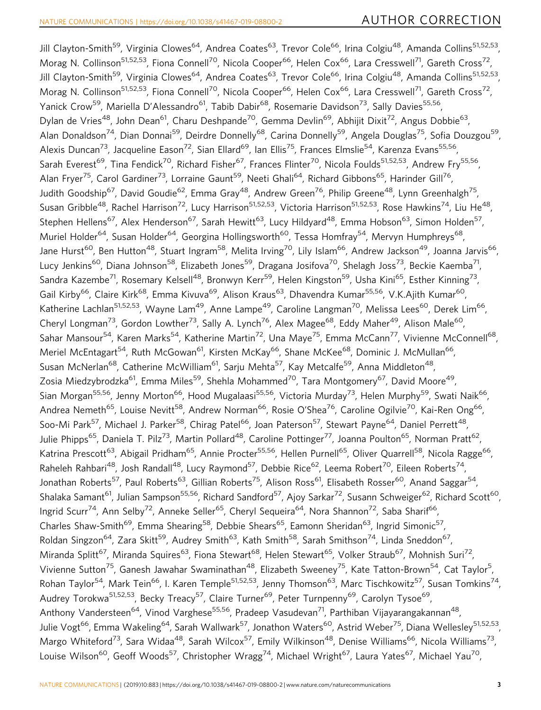Jill Clayton-Smith<sup>59</sup>, Virginia Clowes<sup>64</sup>, Andrea Coates<sup>63</sup>, Trevor Cole<sup>66</sup>, Irina Colgiu<sup>48</sup>, Amanda Collins<sup>51,52,53</sup>, Morag N. Collinson<sup>51,52,53</sup>, Fiona Connell<sup>70</sup>, Nicola Cooper<sup>66</sup>, Helen Cox<sup>66</sup>, Lara Cresswell<sup>71</sup>, Gareth Cross<sup>72</sup>, Jill Clayton-Smith<sup>59</sup>, Virginia Clowes<sup>64</sup>, Andrea Coates<sup>63</sup>, Trevor Cole<sup>66</sup>, Irina Colgiu<sup>48</sup>, Amanda Collins<sup>51,52,53</sup>, Morag N. Collinson<sup>51,52,53</sup>, Fiona Connell<sup>70</sup>, Nicola Cooper<sup>66</sup>, Helen Cox<sup>66</sup>, Lara Cresswell<sup>71</sup>, Gareth Cross<sup>72</sup>, Yanick Crow<sup>59</sup>, Mariella D'Alessandro<sup>61</sup>, Tabib Dabir<sup>68</sup>, Rosemarie Davidson<sup>73</sup>, Sally Davies<sup>55,56</sup>, Dylan de Vries<sup>48</sup>, John Dean<sup>61</sup>, Charu Deshpande<sup>70</sup>, Gemma Devlin<sup>69</sup>, Abhijit Dixit<sup>72</sup>, Angus Dobbie<sup>63</sup>, Alan Donaldson<sup>74</sup>, Dian Donnai<sup>59</sup>, Deirdre Donnelly<sup>68</sup>, Carina Donnelly<sup>59</sup>, Angela Douglas<sup>75</sup>, Sofia Douzgou<sup>59</sup>, Alexis Duncan<sup>73</sup>, Jacqueline Eason<sup>72</sup>, Sian Ellard<sup>69</sup>, Ian Ellis<sup>75</sup>, Frances Elmslie<sup>54</sup>, Karenza Evans<sup>55,56</sup>, Sarah Everest<sup>69</sup>, Tina Fendick<sup>70</sup>, Richard Fisher<sup>67</sup>, Frances Flinter<sup>70</sup>, Nicola Foulds<sup>51,52,53</sup>, Andrew Fry<sup>55,56</sup>, Alan Fryer<sup>75</sup>, Carol Gardiner<sup>73</sup>, Lorraine Gaunt<sup>59</sup>, Neeti Ghali<sup>64</sup>, Richard Gibbons<sup>65</sup>, Harinder Gill<sup>76</sup>, Judith Goodship<sup>67</sup>, David Goudie<sup>62</sup>, Emma Gray<sup>48</sup>, Andrew Green<sup>76</sup>, Philip Greene<sup>48</sup>, Lynn Greenhalgh<sup>75</sup>, Susan Gribble<sup>48</sup>, Rachel Harrison<sup>72</sup>, Lucy Harrison<sup>51,52,53</sup>, Victoria Harrison<sup>51,52,53</sup>, Rose Hawkins<sup>74</sup>, Liu He<sup>48</sup>, Stephen Hellens<sup>67</sup>, Alex Henderson<sup>67</sup>, Sarah Hewitt<sup>63</sup>, Lucy Hildyard<sup>48</sup>, Emma Hobson<sup>63</sup>, Simon Holden<sup>57</sup>, Muriel Holder<sup>64</sup>, Susan Holder<sup>64</sup>, Georgina Hollingsworth<sup>60</sup>, Tessa Homfray<sup>54</sup>, Mervyn Humphreys<sup>68</sup>, Jane Hurst<sup>60</sup>, Ben Hutton<sup>48</sup>, Stuart Ingram<sup>58</sup>, Melita Irving<sup>70</sup>, Lily Islam<sup>66</sup>, Andrew Jackson<sup>49</sup>, Joanna Jarvis<sup>66</sup>, Lucy Jenkins<sup>60</sup>, Diana Johnson<sup>58</sup>, Elizabeth Jones<sup>59</sup>, Dragana Josifova<sup>70</sup>, Shelagh Joss<sup>73</sup>, Beckie Kaemba<sup>71</sup>, Sandra Kazembe<sup>71</sup>, Rosemary Kelsell<sup>48</sup>, Bronwyn Kerr<sup>59</sup>, Helen Kingston<sup>59</sup>, Usha Kini<sup>65</sup>, Esther Kinning<sup>73</sup>, Gail Kirby<sup>66</sup>, Claire Kirk<sup>68</sup>, Emma Kivuva<sup>69</sup>, Alison Kraus<sup>63</sup>, Dhavendra Kumar<sup>55,56</sup>, V.K.Ajith Kumar<sup>60</sup>, Katherine Lachlan<sup>51,52,53</sup>, Wayne Lam<sup>49</sup>, Anne Lampe<sup>49</sup>, Caroline Langman<sup>70</sup>, Melissa Lees<sup>60</sup>, Derek Lim<sup>66</sup>, Cheryl Longman<sup>73</sup>, Gordon Lowther<sup>73</sup>, Sally A. Lynch<sup>76</sup>, Alex Magee<sup>68</sup>, Eddy Maher<sup>49</sup>, Alison Male<sup>60</sup>, Sahar Mansour<sup>54</sup>, Karen Marks<sup>54</sup>, Katherine Martin<sup>72</sup>, Una Maye<sup>75</sup>, Emma McCann<sup>77</sup>, Vivienne McConnell<sup>68</sup>, Meriel McEntagart<sup>54</sup>, Ruth McGowan<sup>61</sup>, Kirsten McKay<sup>66</sup>, Shane McKee<sup>68</sup>, Dominic J. McMullan<sup>66</sup>, Susan McNerlan<sup>68</sup>, Catherine McWilliam<sup>61</sup>, Sarju Mehta<sup>57</sup>, Kay Metcalfe<sup>59</sup>, Anna Middleton<sup>48</sup>, Zosia Miedzybrodzka<sup>61</sup>, Emma Miles<sup>59</sup>, Shehla Mohammed<sup>70</sup>, Tara Montgomery<sup>67</sup>, David Moore<sup>49</sup>, Sian Morgan<sup>55,56</sup>, Jenny Morton<sup>66</sup>, Hood Mugalaasi<sup>55,56</sup>, Victoria Murday<sup>73</sup>, Helen Murphy<sup>59</sup>, Swati Naik<sup>66</sup>, Andrea Nemeth<sup>65</sup>, Louise Nevitt<sup>58</sup>, Andrew Norman<sup>66</sup>, Rosie O'Shea<sup>76</sup>, Caroline Ogilvie<sup>70</sup>, Kai-Ren Ong<sup>66</sup>, Soo-Mi Park<sup>57</sup>, Michael J. Parker<sup>58</sup>, Chirag Patel<sup>66</sup>, Joan Paterson<sup>57</sup>, Stewart Payne<sup>64</sup>, Daniel Perrett<sup>48</sup>, Julie Phipps<sup>65</sup>, Daniela T. Pilz<sup>73</sup>, Martin Pollard<sup>48</sup>, Caroline Pottinger<sup>77</sup>, Joanna Poulton<sup>65</sup>, Norman Pratt<sup>62</sup>, Katrina Prescott<sup>63</sup>, Abigail Pridham<sup>65</sup>, Annie Procter<sup>55,56</sup>, Hellen Purnell<sup>65</sup>, Oliver Quarrell<sup>58</sup>, Nicola Ragge<sup>66</sup>, Raheleh Rahbari<sup>48</sup>, Josh Randall<sup>48</sup>, Lucy Raymond<sup>57</sup>, Debbie Rice<sup>62</sup>, Leema Robert<sup>70</sup>, Eileen Roberts<sup>74</sup>, Jonathan Roberts<sup>57</sup>, Paul Roberts<sup>63</sup>, Gillian Roberts<sup>75</sup>, Alison Ross<sup>61</sup>, Elisabeth Rosser<sup>60</sup>, Anand Saggar<sup>54</sup>, Shalaka Samant<sup>61</sup>, Julian Sampson<sup>55,56</sup>, Richard Sandford<sup>57</sup>, Ajoy Sarkar<sup>72</sup>, Susann Schweiger<sup>62</sup>, Richard Scott<sup>60</sup>, Ingrid Scurr<sup>74</sup>, Ann Selby<sup>72</sup>, Anneke Seller<sup>65</sup>, Cheryl Sequeira<sup>64</sup>, Nora Shannon<sup>72</sup>, Saba Sharif<sup>66</sup>, Charles Shaw-Smith<sup>69</sup>, Emma Shearing<sup>58</sup>, Debbie Shears<sup>65</sup>, Eamonn Sheridan<sup>63</sup>, Ingrid Simonic<sup>57</sup>, Roldan Singzon<sup>64</sup>, Zara Skitt<sup>59</sup>, Audrey Smith<sup>63</sup>, Kath Smith<sup>58</sup>, Sarah Smithson<sup>74</sup>, Linda Sneddon<sup>67</sup>, Miranda Splitt<sup>67</sup>, Miranda Squires<sup>63</sup>, Fiona Stewart<sup>68</sup>, Helen Stewart<sup>65</sup>, Volker Straub<sup>67</sup>, Mohnish Suri<sup>72</sup>, Vivienne Sutton<sup>75</sup>, Ganesh Jawahar Swaminathan<sup>48</sup>, Elizabeth Sweeney<sup>75</sup>, Kate Tatton-Brown<sup>54</sup>, Cat Taylor<sup>5</sup>, Rohan Taylor<sup>54</sup>, Mark Tein<sup>66</sup>, I. Karen Temple<sup>51,52,53</sup>, Jenny Thomson<sup>63</sup>, Marc Tischkowitz<sup>57</sup>, Susan Tomkins<sup>74</sup>, Audrey Torokwa<sup>51,52,53</sup>, Becky Treacy<sup>57</sup>, Claire Turner<sup>69</sup>, Peter Turnpenny<sup>69</sup>, Carolyn Tysoe<sup>69</sup>, Anthony Vandersteen<sup>64</sup>, Vinod Varghese<sup>55,56</sup>, Pradeep Vasudevan<sup>71</sup>, Parthiban Vijayarangakannan<sup>48</sup>, Julie Vogt<sup>66</sup>, Emma Wakeling<sup>64</sup>, Sarah Wallwark<sup>57</sup>, Jonathon Waters<sup>60</sup>, Astrid Weber<sup>75</sup>, Diana Wellesley<sup>51,52,53</sup>, Margo Whiteford<sup>73</sup>, Sara Widaa<sup>48</sup>, Sarah Wilcox<sup>57</sup>, Emily Wilkinson<sup>48</sup>, Denise Williams<sup>66</sup>, Nicola Williams<sup>73</sup>, Louise Wilson<sup>60</sup>, Geoff Woods<sup>57</sup>, Christopher Wragg<sup>74</sup>, Michael Wright<sup>67</sup>, Laura Yates<sup>67</sup>, Michael Yau<sup>70</sup>,